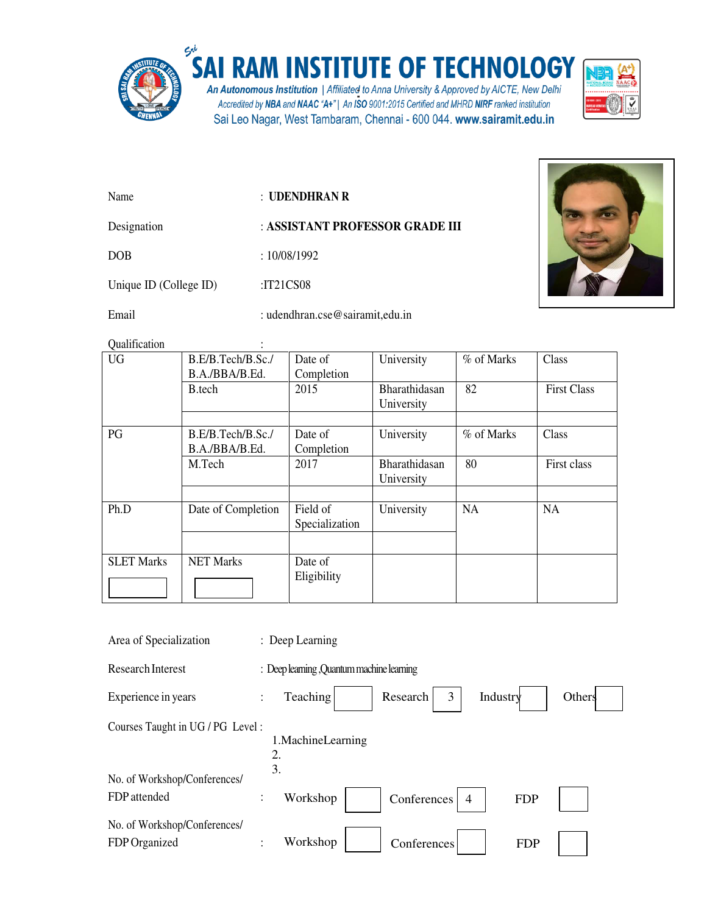

## SAI RAM INSTITUTE OF TECHNOLOGY

**An Autonomous Institution** | Affiliated to Anna University & Approved by AICTE, New Delhi<br>Accredited by NBA and NAAC "A+" | An ISO 9001:2015 Certified and MHRD NIRF ranked institution Sai Leo Nagar, West Tambaram, Chennai - 600 044. www.sairamit.edu.in



Name : **UDENDHRAN R**

Designation : **ASSISTANT PROFESSOR GRADE III** 

DOB : 10/08/1992

Unique ID (College ID) :IT21CS08

Email : udendhran.cse@sairamit,edu.in



Qualification :

| <b>Outline and A</b> |                                     |                       |               |            |                    |
|----------------------|-------------------------------------|-----------------------|---------------|------------|--------------------|
| <b>UG</b>            | B.E/B.Tech/B.Sc./<br>B.A./BBA/B.Ed. | Date of<br>Completion | University    | % of Marks | Class              |
|                      |                                     |                       |               |            |                    |
|                      | B.tech                              | 2015                  | Bharathidasan | 82         | <b>First Class</b> |
|                      |                                     |                       | University    |            |                    |
|                      |                                     |                       |               |            |                    |
| PG                   | B.E/B.Tech/B.Sc./                   | Date of               | University    | % of Marks | Class              |
|                      | B.A./BBA/B.Ed.                      | Completion            |               |            |                    |
|                      | M.Tech                              | 2017                  | Bharathidasan | 80         | First class        |
|                      |                                     |                       | University    |            |                    |
|                      |                                     |                       |               |            |                    |
| Ph.D                 | Date of Completion                  | Field of              | University    | NA         | NA                 |
|                      |                                     | Specialization        |               |            |                    |
|                      |                                     |                       |               |            |                    |
| <b>SLET Marks</b>    | <b>NET Marks</b>                    | Date of               |               |            |                    |
|                      |                                     | Eligibility           |               |            |                    |
|                      |                                     |                       |               |            |                    |
|                      |                                     |                       |               |            |                    |

| Area of Specialization                        | : Deep Learning                                                     |
|-----------------------------------------------|---------------------------------------------------------------------|
| <b>Research Interest</b>                      | : Deep learning , Quantum machine learning                          |
| Experience in years                           | Teaching<br>Research<br>Industry<br>3<br>Others<br>$\vdots$         |
| Courses Taught in UG / PG Level:              | 1. Machine Learning<br>2.<br>3.                                     |
| No. of Workshop/Conferences/                  |                                                                     |
| FDP attended                                  | Workshop<br>Conferences<br>$\vdots$<br>$\overline{4}$<br><b>FDP</b> |
| No. of Workshop/Conferences/<br>FDP Organized | Workshop<br>Conferences<br><b>FDP</b><br>٠                          |